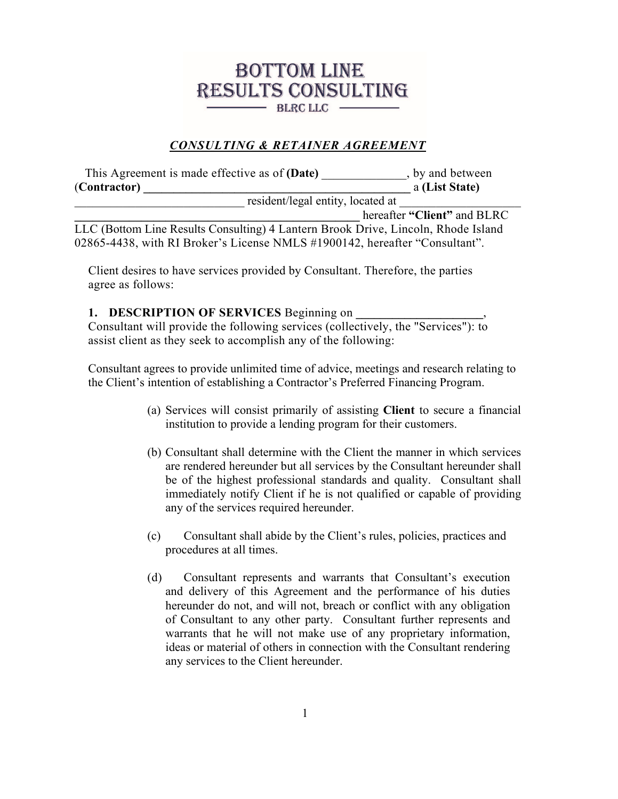## **BOTTOM LINE RESULTS CONSULTING** BLRC LLC -

## *CONSULTING & RETAINER AGREEMENT*

 This Agreement is made effective as of **(Date)** \_\_\_\_\_\_\_\_\_\_\_\_\_\_, by and between (**Contractor) \_\_\_\_\_\_\_\_\_\_\_\_\_\_\_\_\_\_\_\_\_\_\_\_\_\_\_\_\_\_\_\_\_\_\_\_\_\_\_\_\_\_\_\_** a **(List State)** position of the state of the state of the state of the state of the state of the state of the state of the state of the state of the state of the state of the state of the state of the state of the state of the state of th **\_\_\_\_\_\_\_\_\_\_\_\_\_\_\_\_\_\_\_\_\_\_\_\_\_\_\_\_\_\_\_\_\_\_\_\_\_\_\_\_\_\_\_\_\_\_\_** hereafter **"Client"** and BLRC LLC (Bottom Line Results Consulting) 4 Lantern Brook Drive, Lincoln, Rhode Island

02865-4438, with RI Broker's License NMLS #1900142, hereafter "Consultant".

Client desires to have services provided by Consultant. Therefore, the parties agree as follows:

## **1. DESCRIPTION OF SERVICES** Beginning on

Consultant will provide the following services (collectively, the "Services"): to assist client as they seek to accomplish any of the following:

Consultant agrees to provide unlimited time of advice, meetings and research relating to the Client's intention of establishing a Contractor's Preferred Financing Program.

- (a) Services will consist primarily of assisting **Client** to secure a financial institution to provide a lending program for their customers.
- (b) Consultant shall determine with the Client the manner in which services are rendered hereunder but all services by the Consultant hereunder shall be of the highest professional standards and quality. Consultant shall immediately notify Client if he is not qualified or capable of providing any of the services required hereunder.
- (c) Consultant shall abide by the Client's rules, policies, practices and procedures at all times.
- (d) Consultant represents and warrants that Consultant's execution and delivery of this Agreement and the performance of his duties hereunder do not, and will not, breach or conflict with any obligation of Consultant to any other party. Consultant further represents and warrants that he will not make use of any proprietary information, ideas or material of others in connection with the Consultant rendering any services to the Client hereunder.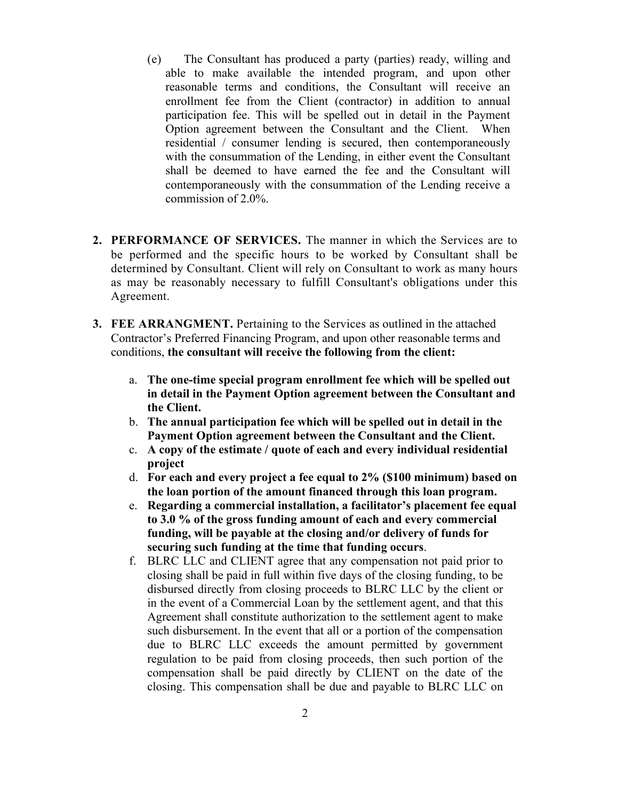- (e) The Consultant has produced a party (parties) ready, willing and able to make available the intended program, and upon other reasonable terms and conditions, the Consultant will receive an enrollment fee from the Client (contractor) in addition to annual participation fee. This will be spelled out in detail in the Payment Option agreement between the Consultant and the Client. When residential / consumer lending is secured, then contemporaneously with the consummation of the Lending, in either event the Consultant shall be deemed to have earned the fee and the Consultant will contemporaneously with the consummation of the Lending receive a commission of 2.0%.
- **2. PERFORMANCE OF SERVICES.** The manner in which the Services are to be performed and the specific hours to be worked by Consultant shall be determined by Consultant. Client will rely on Consultant to work as many hours as may be reasonably necessary to fulfill Consultant's obligations under this Agreement.
- **3. FEE ARRANGMENT.** Pertaining to the Services as outlined in the attached Contractor's Preferred Financing Program, and upon other reasonable terms and conditions, **the consultant will receive the following from the client:**
	- a. **The one-time special program enrollment fee which will be spelled out in detail in the Payment Option agreement between the Consultant and the Client.**
	- b. **The annual participation fee which will be spelled out in detail in the Payment Option agreement between the Consultant and the Client.**
	- c. **A copy of the estimate / quote of each and every individual residential project**
	- d. **For each and every project a fee equal to 2% (\$100 minimum) based on the loan portion of the amount financed through this loan program.**
	- e. **Regarding a commercial installation, a facilitator's placement fee equal to 3.0 % of the gross funding amount of each and every commercial funding, will be payable at the closing and/or delivery of funds for securing such funding at the time that funding occurs**.
	- f. BLRC LLC and CLIENT agree that any compensation not paid prior to closing shall be paid in full within five days of the closing funding, to be disbursed directly from closing proceeds to BLRC LLC by the client or in the event of a Commercial Loan by the settlement agent, and that this Agreement shall constitute authorization to the settlement agent to make such disbursement. In the event that all or a portion of the compensation due to BLRC LLC exceeds the amount permitted by government regulation to be paid from closing proceeds, then such portion of the compensation shall be paid directly by CLIENT on the date of the closing. This compensation shall be due and payable to BLRC LLC on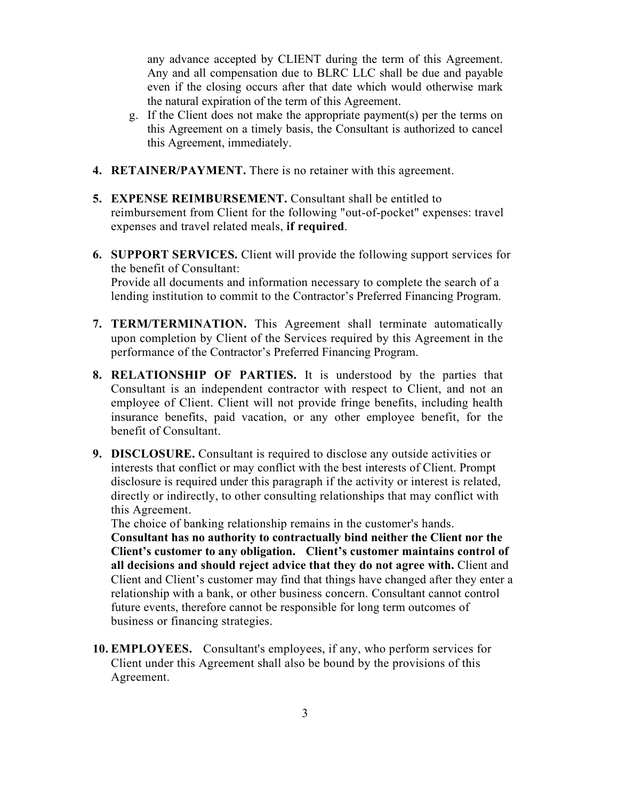any advance accepted by CLIENT during the term of this Agreement. Any and all compensation due to BLRC LLC shall be due and payable even if the closing occurs after that date which would otherwise mark the natural expiration of the term of this Agreement.

- g. If the Client does not make the appropriate payment(s) per the terms on this Agreement on a timely basis, the Consultant is authorized to cancel this Agreement, immediately.
- **4. RETAINER/PAYMENT.** There is no retainer with this agreement.
- **5. EXPENSE REIMBURSEMENT.** Consultant shall be entitled to reimbursement from Client for the following "out-of-pocket" expenses: travel expenses and travel related meals, **if required**.
- **6. SUPPORT SERVICES.** Client will provide the following support services for the benefit of Consultant: Provide all documents and information necessary to complete the search of a lending institution to commit to the Contractor's Preferred Financing Program.
- **7. TERM/TERMINATION.** This Agreement shall terminate automatically upon completion by Client of the Services required by this Agreement in the performance of the Contractor's Preferred Financing Program.
- **8. RELATIONSHIP OF PARTIES.** It is understood by the parties that Consultant is an independent contractor with respect to Client, and not an employee of Client. Client will not provide fringe benefits, including health insurance benefits, paid vacation, or any other employee benefit, for the benefit of Consultant.
- **9. DISCLOSURE.** Consultant is required to disclose any outside activities or interests that conflict or may conflict with the best interests of Client. Prompt disclosure is required under this paragraph if the activity or interest is related, directly or indirectly, to other consulting relationships that may conflict with this Agreement.

The choice of banking relationship remains in the customer's hands.

**Consultant has no authority to contractually bind neither the Client nor the Client's customer to any obligation. Client's customer maintains control of all decisions and should reject advice that they do not agree with.** Client and Client and Client's customer may find that things have changed after they enter a relationship with a bank, or other business concern. Consultant cannot control future events, therefore cannot be responsible for long term outcomes of business or financing strategies.

**10. EMPLOYEES.** Consultant's employees, if any, who perform services for Client under this Agreement shall also be bound by the provisions of this Agreement.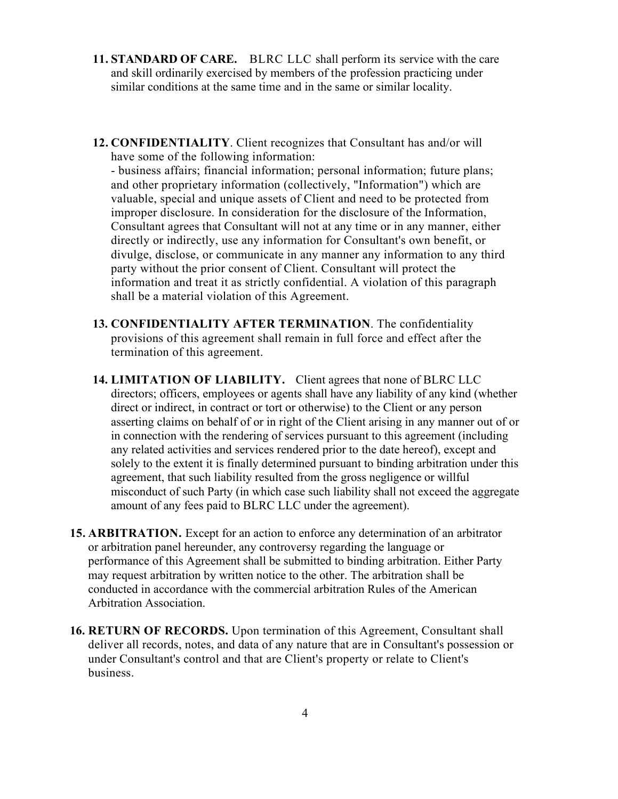- **11. STANDARD OF CARE.** BLRC LLC shall perform its service with the care and skill ordinarily exercised by members of the profession practicing under similar conditions at the same time and in the same or similar locality.
- **12. CONFIDENTIALITY**. Client recognizes that Consultant has and/or will have some of the following information:

- business affairs; financial information; personal information; future plans; and other proprietary information (collectively, "Information") which are valuable, special and unique assets of Client and need to be protected from improper disclosure. In consideration for the disclosure of the Information, Consultant agrees that Consultant will not at any time or in any manner, either directly or indirectly, use any information for Consultant's own benefit, or divulge, disclose, or communicate in any manner any information to any third party without the prior consent of Client. Consultant will protect the information and treat it as strictly confidential. A violation of this paragraph shall be a material violation of this Agreement.

- **13. CONFIDENTIALITY AFTER TERMINATION**. The confidentiality provisions of this agreement shall remain in full force and effect after the termination of this agreement.
- **14. LIMITATION OF LIABILITY.** Client agrees that none of BLRC LLC directors; officers, employees or agents shall have any liability of any kind (whether direct or indirect, in contract or tort or otherwise) to the Client or any person asserting claims on behalf of or in right of the Client arising in any manner out of or in connection with the rendering of services pursuant to this agreement (including any related activities and services rendered prior to the date hereof), except and solely to the extent it is finally determined pursuant to binding arbitration under this agreement, that such liability resulted from the gross negligence or willful misconduct of such Party (in which case such liability shall not exceed the aggregate amount of any fees paid to BLRC LLC under the agreement).
- **15. ARBITRATION.** Except for an action to enforce any determination of an arbitrator or arbitration panel hereunder, any controversy regarding the language or performance of this Agreement shall be submitted to binding arbitration. Either Party may request arbitration by written notice to the other. The arbitration shall be conducted in accordance with the commercial arbitration Rules of the American Arbitration Association.
- **16. RETURN OF RECORDS.** Upon termination of this Agreement, Consultant shall deliver all records, notes, and data of any nature that are in Consultant's possession or under Consultant's control and that are Client's property or relate to Client's business.